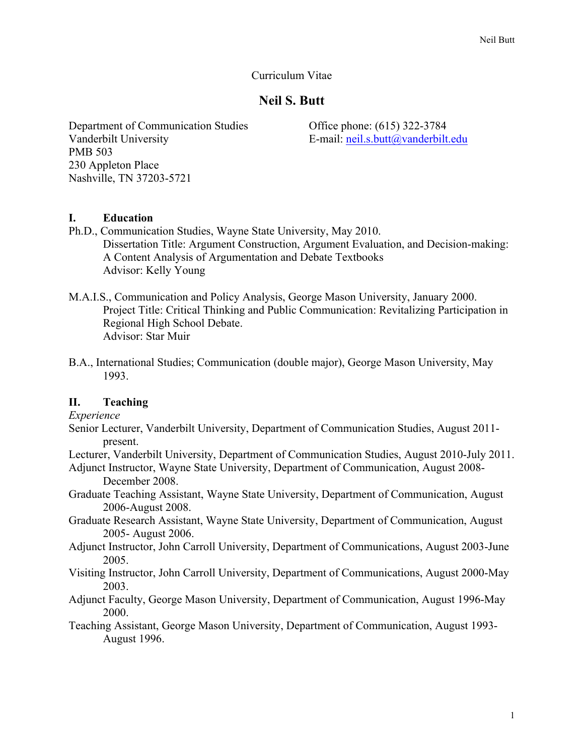### Curriculum Vitae

# **Neil S. Butt**

Department of Communication Studies Vanderbilt University PMB 503 230 Appleton Place Nashville, TN 37203-5721

Office phone: (615) 322-3784 E-mail: neil.s.butt@vanderbilt.edu

### **I. Education**

- Ph.D., Communication Studies, Wayne State University, May 2010. Dissertation Title: Argument Construction, Argument Evaluation, and Decision-making: A Content Analysis of Argumentation and Debate Textbooks Advisor: Kelly Young
- M.A.I.S., Communication and Policy Analysis, George Mason University, January 2000. Project Title: Critical Thinking and Public Communication: Revitalizing Participation in Regional High School Debate. Advisor: Star Muir
- B.A., International Studies; Communication (double major), George Mason University, May 1993.

### **II. Teaching**

*Experience*

- Senior Lecturer, Vanderbilt University, Department of Communication Studies, August 2011 present.
- Lecturer, Vanderbilt University, Department of Communication Studies, August 2010-July 2011.
- Adjunct Instructor, Wayne State University, Department of Communication, August 2008- December 2008.
- Graduate Teaching Assistant, Wayne State University, Department of Communication, August 2006-August 2008.
- Graduate Research Assistant, Wayne State University, Department of Communication, August 2005- August 2006.
- Adjunct Instructor, John Carroll University, Department of Communications, August 2003-June 2005.
- Visiting Instructor, John Carroll University, Department of Communications, August 2000-May 2003.
- Adjunct Faculty, George Mason University, Department of Communication, August 1996-May 2000.
- Teaching Assistant, George Mason University, Department of Communication, August 1993- August 1996.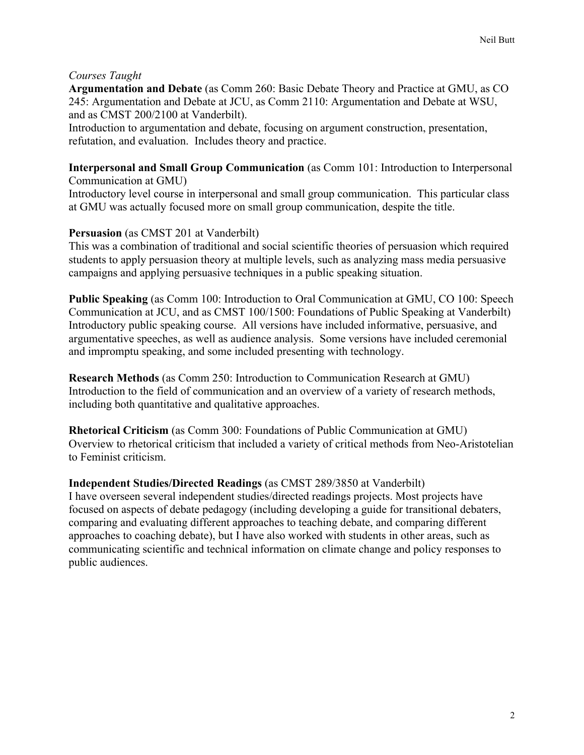## *Courses Taught*

**Argumentation and Debate** (as Comm 260: Basic Debate Theory and Practice at GMU, as CO 245: Argumentation and Debate at JCU, as Comm 2110: Argumentation and Debate at WSU, and as CMST 200/2100 at Vanderbilt).

Introduction to argumentation and debate, focusing on argument construction, presentation, refutation, and evaluation. Includes theory and practice.

### **Interpersonal and Small Group Communication** (as Comm 101: Introduction to Interpersonal Communication at GMU)

Introductory level course in interpersonal and small group communication. This particular class at GMU was actually focused more on small group communication, despite the title.

## **Persuasion** (as CMST 201 at Vanderbilt)

This was a combination of traditional and social scientific theories of persuasion which required students to apply persuasion theory at multiple levels, such as analyzing mass media persuasive campaigns and applying persuasive techniques in a public speaking situation.

**Public Speaking** (as Comm 100: Introduction to Oral Communication at GMU, CO 100: Speech Communication at JCU, and as CMST 100/1500: Foundations of Public Speaking at Vanderbilt) Introductory public speaking course. All versions have included informative, persuasive, and argumentative speeches, as well as audience analysis. Some versions have included ceremonial and impromptu speaking, and some included presenting with technology.

**Research Methods** (as Comm 250: Introduction to Communication Research at GMU) Introduction to the field of communication and an overview of a variety of research methods, including both quantitative and qualitative approaches.

**Rhetorical Criticism** (as Comm 300: Foundations of Public Communication at GMU) Overview to rhetorical criticism that included a variety of critical methods from Neo-Aristotelian to Feminist criticism.

### **Independent Studies/Directed Readings** (as CMST 289/3850 at Vanderbilt)

I have overseen several independent studies/directed readings projects. Most projects have focused on aspects of debate pedagogy (including developing a guide for transitional debaters, comparing and evaluating different approaches to teaching debate, and comparing different approaches to coaching debate), but I have also worked with students in other areas, such as communicating scientific and technical information on climate change and policy responses to public audiences.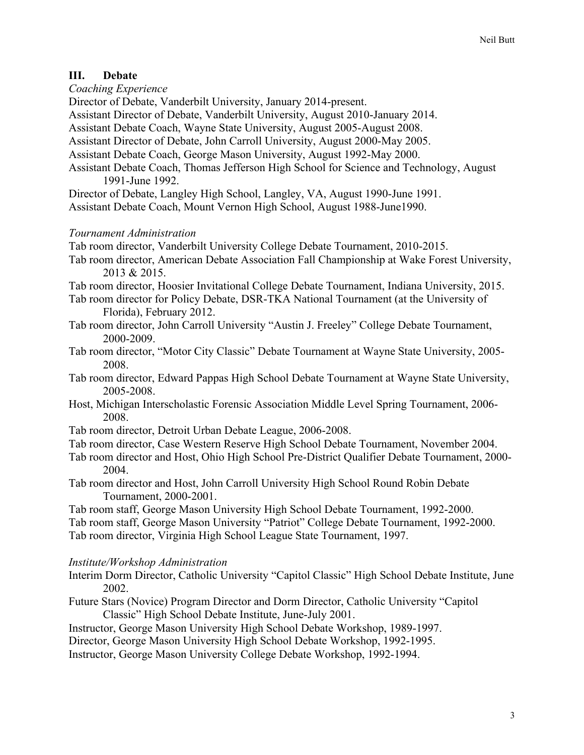## **III. Debate**

*Coaching Experience*

Director of Debate, Vanderbilt University, January 2014-present.

Assistant Director of Debate, Vanderbilt University, August 2010-January 2014.

Assistant Debate Coach, Wayne State University, August 2005-August 2008.

Assistant Director of Debate, John Carroll University, August 2000-May 2005.

Assistant Debate Coach, George Mason University, August 1992-May 2000.

Assistant Debate Coach, Thomas Jefferson High School for Science and Technology, August 1991-June 1992.

Director of Debate, Langley High School, Langley, VA, August 1990-June 1991.

Assistant Debate Coach, Mount Vernon High School, August 1988-June1990.

## *Tournament Administration*

Tab room director, Vanderbilt University College Debate Tournament, 2010-2015.

Tab room director, American Debate Association Fall Championship at Wake Forest University, 2013 & 2015.

Tab room director, Hoosier Invitational College Debate Tournament, Indiana University, 2015.

- Tab room director for Policy Debate, DSR-TKA National Tournament (at the University of Florida), February 2012.
- Tab room director, John Carroll University "Austin J. Freeley" College Debate Tournament, 2000-2009.
- Tab room director, "Motor City Classic" Debate Tournament at Wayne State University, 2005- 2008.
- Tab room director, Edward Pappas High School Debate Tournament at Wayne State University, 2005-2008.
- Host, Michigan Interscholastic Forensic Association Middle Level Spring Tournament, 2006- 2008.
- Tab room director, Detroit Urban Debate League, 2006-2008.
- Tab room director, Case Western Reserve High School Debate Tournament, November 2004.
- Tab room director and Host, Ohio High School Pre-District Qualifier Debate Tournament, 2000- 2004.
- Tab room director and Host, John Carroll University High School Round Robin Debate Tournament, 2000-2001.

Tab room staff, George Mason University High School Debate Tournament, 1992-2000. Tab room staff, George Mason University "Patriot" College Debate Tournament, 1992-2000. Tab room director, Virginia High School League State Tournament, 1997.

# *Institute/Workshop Administration*

- Interim Dorm Director, Catholic University "Capitol Classic" High School Debate Institute, June 2002.
- Future Stars (Novice) Program Director and Dorm Director, Catholic University "Capitol Classic" High School Debate Institute, June-July 2001.

Instructor, George Mason University High School Debate Workshop, 1989-1997.

Director, George Mason University High School Debate Workshop, 1992-1995.

Instructor, George Mason University College Debate Workshop, 1992-1994.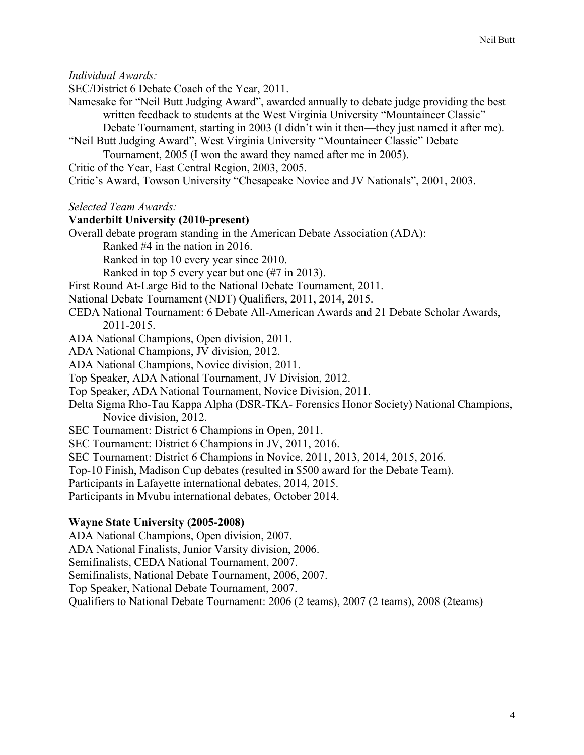*Individual Awards:*

SEC/District 6 Debate Coach of the Year, 2011.

Namesake for "Neil Butt Judging Award", awarded annually to debate judge providing the best written feedback to students at the West Virginia University "Mountaineer Classic"

Debate Tournament, starting in 2003 (I didn't win it then—they just named it after me).

"Neil Butt Judging Award", West Virginia University "Mountaineer Classic" Debate Tournament, 2005 (I won the award they named after me in 2005).

Critic of the Year, East Central Region, 2003, 2005.

Critic's Award, Towson University "Chesapeake Novice and JV Nationals", 2001, 2003.

*Selected Team Awards:*

### **Vanderbilt University (2010-present)**

Overall debate program standing in the American Debate Association (ADA):

Ranked #4 in the nation in 2016.

Ranked in top 10 every year since 2010.

Ranked in top 5 every year but one (#7 in 2013).

First Round At-Large Bid to the National Debate Tournament, 2011.

National Debate Tournament (NDT) Qualifiers, 2011, 2014, 2015.

- CEDA National Tournament: 6 Debate All-American Awards and 21 Debate Scholar Awards, 2011-2015.
- ADA National Champions, Open division, 2011.
- ADA National Champions, JV division, 2012.
- ADA National Champions, Novice division, 2011.
- Top Speaker, ADA National Tournament, JV Division, 2012.
- Top Speaker, ADA National Tournament, Novice Division, 2011.

Delta Sigma Rho-Tau Kappa Alpha (DSR-TKA- Forensics Honor Society) National Champions, Novice division, 2012.

- SEC Tournament: District 6 Champions in Open, 2011.
- SEC Tournament: District 6 Champions in JV, 2011, 2016.
- SEC Tournament: District 6 Champions in Novice, 2011, 2013, 2014, 2015, 2016.

Top-10 Finish, Madison Cup debates (resulted in \$500 award for the Debate Team).

Participants in Lafayette international debates, 2014, 2015.

Participants in Mvubu international debates, October 2014.

### **Wayne State University (2005-2008)**

ADA National Champions, Open division, 2007. ADA National Finalists, Junior Varsity division, 2006. Semifinalists, CEDA National Tournament, 2007. Semifinalists, National Debate Tournament, 2006, 2007. Top Speaker, National Debate Tournament, 2007. Qualifiers to National Debate Tournament: 2006 (2 teams), 2007 (2 teams), 2008 (2teams)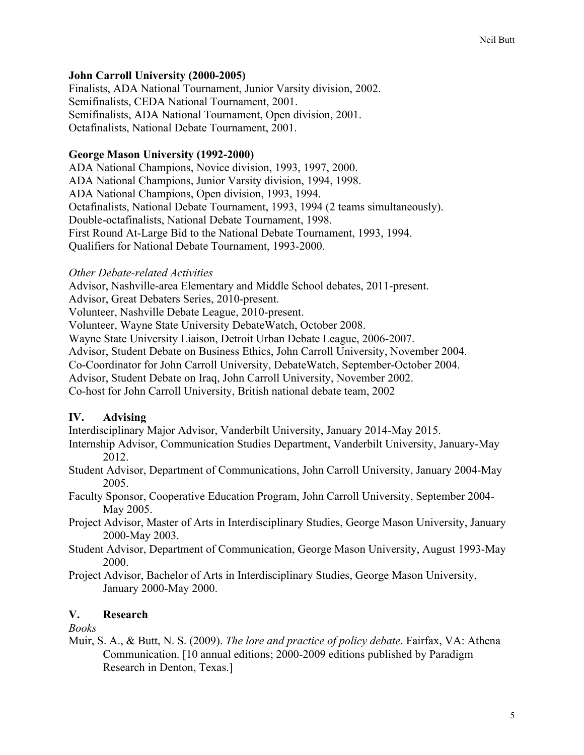### **John Carroll University (2000-2005)**

Finalists, ADA National Tournament, Junior Varsity division, 2002. Semifinalists, CEDA National Tournament, 2001. Semifinalists, ADA National Tournament, Open division, 2001. Octafinalists, National Debate Tournament, 2001.

### **George Mason University (1992-2000)**

ADA National Champions, Novice division, 1993, 1997, 2000. ADA National Champions, Junior Varsity division, 1994, 1998. ADA National Champions, Open division, 1993, 1994. Octafinalists, National Debate Tournament, 1993, 1994 (2 teams simultaneously). Double-octafinalists, National Debate Tournament, 1998. First Round At-Large Bid to the National Debate Tournament, 1993, 1994. Qualifiers for National Debate Tournament, 1993-2000.

### *Other Debate-related Activities*

Advisor, Nashville-area Elementary and Middle School debates, 2011-present.

Advisor, Great Debaters Series, 2010-present.

Volunteer, Nashville Debate League, 2010-present.

Volunteer, Wayne State University DebateWatch, October 2008.

Wayne State University Liaison, Detroit Urban Debate League, 2006-2007.

Advisor, Student Debate on Business Ethics, John Carroll University, November 2004.

Co-Coordinator for John Carroll University, DebateWatch, September-October 2004.

Advisor, Student Debate on Iraq, John Carroll University, November 2002.

Co-host for John Carroll University, British national debate team, 2002

### **IV. Advising**

Interdisciplinary Major Advisor, Vanderbilt University, January 2014-May 2015.

- Internship Advisor, Communication Studies Department, Vanderbilt University, January-May 2012.
- Student Advisor, Department of Communications, John Carroll University, January 2004-May 2005.
- Faculty Sponsor, Cooperative Education Program, John Carroll University, September 2004- May 2005.
- Project Advisor, Master of Arts in Interdisciplinary Studies, George Mason University, January 2000-May 2003.
- Student Advisor, Department of Communication, George Mason University, August 1993-May 2000.
- Project Advisor, Bachelor of Arts in Interdisciplinary Studies, George Mason University, January 2000-May 2000.

# **V. Research**

*Books*

Muir, S. A., & Butt, N. S. (2009). *The lore and practice of policy debate*. Fairfax, VA: Athena Communication. [10 annual editions; 2000-2009 editions published by Paradigm Research in Denton, Texas.]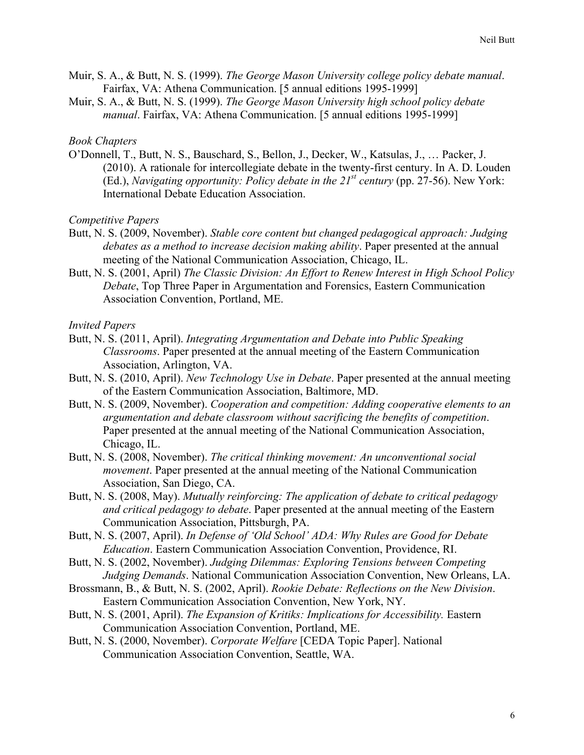- Muir, S. A., & Butt, N. S. (1999). *The George Mason University college policy debate manual*. Fairfax, VA: Athena Communication. [5 annual editions 1995-1999]
- Muir, S. A., & Butt, N. S. (1999). *The George Mason University high school policy debate manual*. Fairfax, VA: Athena Communication. [5 annual editions 1995-1999]

#### *Book Chapters*

O'Donnell, T., Butt, N. S., Bauschard, S., Bellon, J., Decker, W., Katsulas, J., … Packer, J. (2010). A rationale for intercollegiate debate in the twenty-first century. In A. D. Louden (Ed.), *Navigating opportunity: Policy debate in the 21st century* (pp. 27-56). New York: International Debate Education Association.

*Competitive Papers*

- Butt, N. S. (2009, November). *Stable core content but changed pedagogical approach: Judging debates as a method to increase decision making ability*. Paper presented at the annual meeting of the National Communication Association, Chicago, IL.
- Butt, N. S. (2001, April) *The Classic Division: An Effort to Renew Interest in High School Policy Debate*, Top Three Paper in Argumentation and Forensics, Eastern Communication Association Convention, Portland, ME.

*Invited Papers*

- Butt, N. S. (2011, April). *Integrating Argumentation and Debate into Public Speaking Classrooms*. Paper presented at the annual meeting of the Eastern Communication Association, Arlington, VA.
- Butt, N. S. (2010, April). *New Technology Use in Debate*. Paper presented at the annual meeting of the Eastern Communication Association, Baltimore, MD.
- Butt, N. S. (2009, November). *Cooperation and competition: Adding cooperative elements to an argumentation and debate classroom without sacrificing the benefits of competition*. Paper presented at the annual meeting of the National Communication Association, Chicago, IL.
- Butt, N. S. (2008, November). *The critical thinking movement: An unconventional social movement*. Paper presented at the annual meeting of the National Communication Association, San Diego, CA.
- Butt, N. S. (2008, May). *Mutually reinforcing: The application of debate to critical pedagogy and critical pedagogy to debate*. Paper presented at the annual meeting of the Eastern Communication Association, Pittsburgh, PA.
- Butt, N. S. (2007, April). *In Defense of 'Old School' ADA: Why Rules are Good for Debate Education*. Eastern Communication Association Convention, Providence, RI.
- Butt, N. S. (2002, November). *Judging Dilemmas: Exploring Tensions between Competing Judging Demands*. National Communication Association Convention, New Orleans, LA.
- Brossmann, B., & Butt, N. S. (2002, April). *Rookie Debate: Reflections on the New Division*. Eastern Communication Association Convention, New York, NY.
- Butt, N. S. (2001, April). *The Expansion of Kritiks: Implications for Accessibility.* Eastern Communication Association Convention, Portland, ME.
- Butt, N. S. (2000, November). *Corporate Welfare* [CEDA Topic Paper]. National Communication Association Convention, Seattle, WA.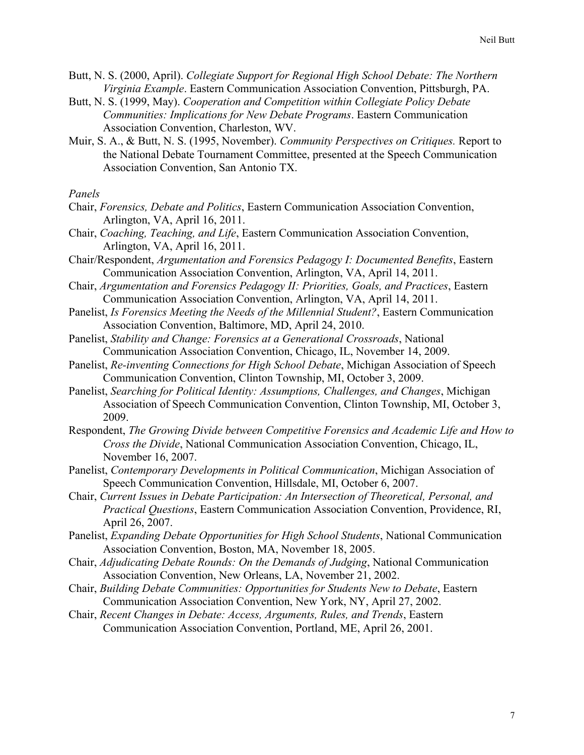- Butt, N. S. (2000, April). *Collegiate Support for Regional High School Debate: The Northern Virginia Example*. Eastern Communication Association Convention, Pittsburgh, PA.
- Butt, N. S. (1999, May). *Cooperation and Competition within Collegiate Policy Debate Communities: Implications for New Debate Programs*. Eastern Communication Association Convention, Charleston, WV.
- Muir, S. A., & Butt, N. S. (1995, November). *Community Perspectives on Critiques.* Report to the National Debate Tournament Committee, presented at the Speech Communication Association Convention, San Antonio TX.

#### *Panels*

- Chair, *Forensics, Debate and Politics*, Eastern Communication Association Convention, Arlington, VA, April 16, 2011.
- Chair, *Coaching, Teaching, and Life*, Eastern Communication Association Convention, Arlington, VA, April 16, 2011.
- Chair/Respondent, *Argumentation and Forensics Pedagogy I: Documented Benefits*, Eastern Communication Association Convention, Arlington, VA, April 14, 2011.
- Chair, *Argumentation and Forensics Pedagogy II: Priorities, Goals, and Practices*, Eastern Communication Association Convention, Arlington, VA, April 14, 2011.
- Panelist, *Is Forensics Meeting the Needs of the Millennial Student?*, Eastern Communication Association Convention, Baltimore, MD, April 24, 2010.
- Panelist, *Stability and Change: Forensics at a Generational Crossroads*, National Communication Association Convention, Chicago, IL, November 14, 2009.
- Panelist, *Re-inventing Connections for High School Debate*, Michigan Association of Speech Communication Convention, Clinton Township, MI, October 3, 2009.
- Panelist, *Searching for Political Identity: Assumptions, Challenges, and Changes*, Michigan Association of Speech Communication Convention, Clinton Township, MI, October 3, 2009.
- Respondent, *The Growing Divide between Competitive Forensics and Academic Life and How to Cross the Divide*, National Communication Association Convention, Chicago, IL, November 16, 2007.
- Panelist, *Contemporary Developments in Political Communication*, Michigan Association of Speech Communication Convention, Hillsdale, MI, October 6, 2007.
- Chair, *Current Issues in Debate Participation: An Intersection of Theoretical, Personal, and Practical Questions*, Eastern Communication Association Convention, Providence, RI, April 26, 2007.
- Panelist, *Expanding Debate Opportunities for High School Students*, National Communication Association Convention, Boston, MA, November 18, 2005.
- Chair, *Adjudicating Debate Rounds: On the Demands of Judging*, National Communication Association Convention, New Orleans, LA, November 21, 2002.
- Chair, *Building Debate Communities: Opportunities for Students New to Debate*, Eastern Communication Association Convention, New York, NY, April 27, 2002.
- Chair, *Recent Changes in Debate: Access, Arguments, Rules, and Trends*, Eastern Communication Association Convention, Portland, ME, April 26, 2001.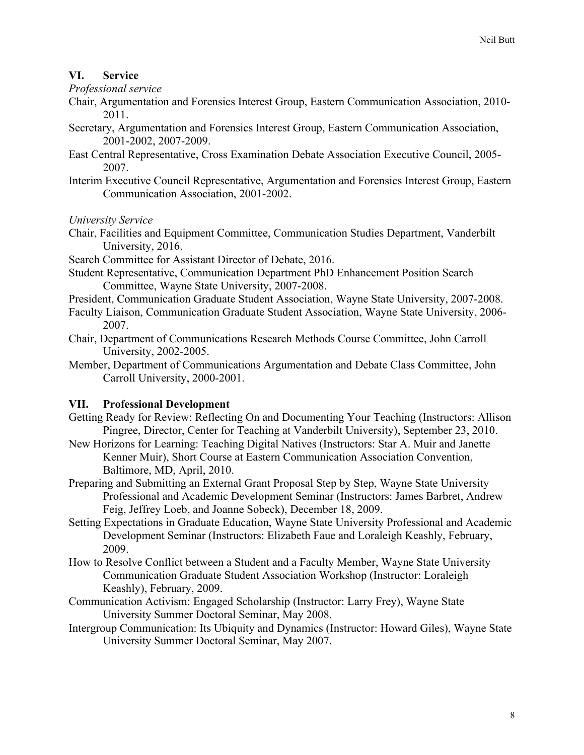# **VI. Service**

*Professional service*

- Chair, Argumentation and Forensics Interest Group, Eastern Communication Association, 2010- 2011.
- Secretary, Argumentation and Forensics Interest Group, Eastern Communication Association, 2001-2002, 2007-2009.
- East Central Representative, Cross Examination Debate Association Executive Council, 2005- 2007.
- Interim Executive Council Representative, Argumentation and Forensics Interest Group, Eastern Communication Association, 2001-2002.

*University Service*

- Chair, Facilities and Equipment Committee, Communication Studies Department, Vanderbilt University, 2016.
- Search Committee for Assistant Director of Debate, 2016.
- Student Representative, Communication Department PhD Enhancement Position Search Committee, Wayne State University, 2007-2008.
- President, Communication Graduate Student Association, Wayne State University, 2007-2008.
- Faculty Liaison, Communication Graduate Student Association, Wayne State University, 2006- 2007.
- Chair, Department of Communications Research Methods Course Committee, John Carroll University, 2002-2005.
- Member, Department of Communications Argumentation and Debate Class Committee, John Carroll University, 2000-2001.

# **VII. Professional Development**

- Getting Ready for Review: Reflecting On and Documenting Your Teaching (Instructors: Allison Pingree, Director, Center for Teaching at Vanderbilt University), September 23, 2010.
- New Horizons for Learning: Teaching Digital Natives (Instructors: Star A. Muir and Janette Kenner Muir), Short Course at Eastern Communication Association Convention, Baltimore, MD, April, 2010.
- Preparing and Submitting an External Grant Proposal Step by Step, Wayne State University Professional and Academic Development Seminar (Instructors: James Barbret, Andrew Feig, Jeffrey Loeb, and Joanne Sobeck), December 18, 2009.
- Setting Expectations in Graduate Education, Wayne State University Professional and Academic Development Seminar (Instructors: Elizabeth Faue and Loraleigh Keashly, February, 2009.
- How to Resolve Conflict between a Student and a Faculty Member, Wayne State University Communication Graduate Student Association Workshop (Instructor: Loraleigh Keashly), February, 2009.
- Communication Activism: Engaged Scholarship (Instructor: Larry Frey), Wayne State University Summer Doctoral Seminar, May 2008.
- Intergroup Communication: Its Ubiquity and Dynamics (Instructor: Howard Giles), Wayne State University Summer Doctoral Seminar, May 2007.